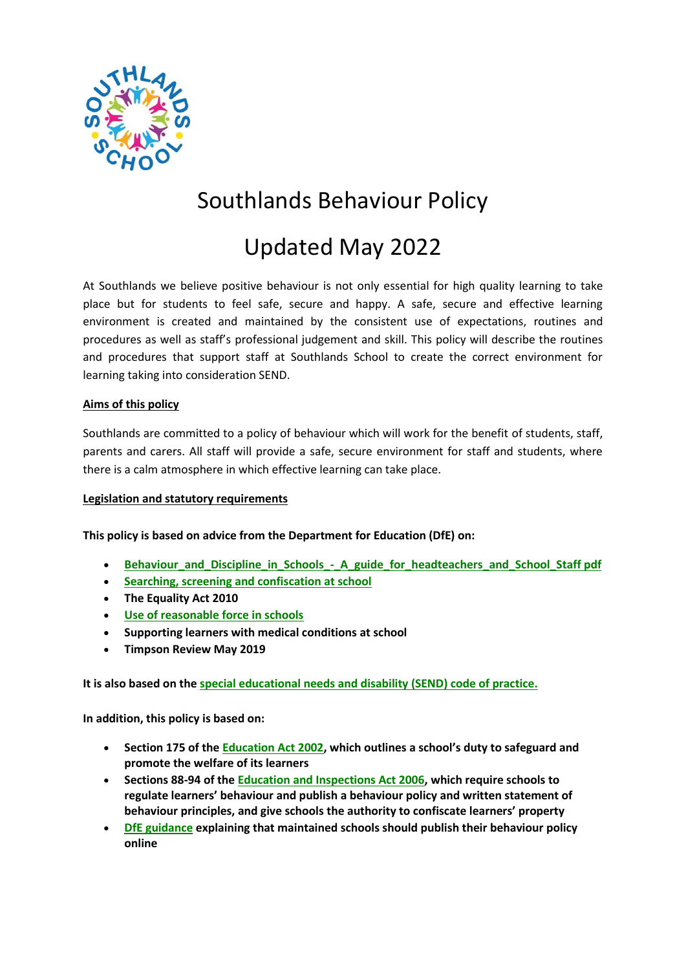

# Southlands Behaviour Policy

# Updated May 2022

At Southlands we believe positive behaviour is not only essential for high quality learning to take place but for students to feel safe, secure and happy. A safe, secure and effective learning environment is created and maintained by the consistent use of expectations, routines and procedures as well as staff's professional judgement and skill. This policy will describe the routines and procedures that support staff at Southlands School to create the correct environment for learning taking into consideration SEND.

#### **Aims of this policy**

Southlands are committed to a policy of behaviour which will work for the benefit of students, staff, parents and carers. All staff will provide a safe, secure environment for staff and students, where there is a calm atmosphere in which effective learning can take place.

#### **Legislation and statutory requirements**

**This policy is based on advice from the Department for Education (DfE) on:**

- **Behaviour and Discipline in Schools A guide for headteachers and School Staff pdf**
- **[Searching, screening and confiscation at school](https://www.gov.uk/government/publications/searching-screening-and-confiscation)**
- **The Equality Act 2010**
- **[Use of reasonable force in schools](https://www.gov.uk/government/publications/use-of-reasonable-force-in-schools)**
- **Supporting learners with medical conditions at school**
- **Timpson Review May 2019**

**It is also based on the [special educational needs and disability \(SEND\) code of practice.](https://www.gov.uk/government/publications/send-code-of-practice-0-to-25)**

**In addition, this policy is based on:**

- **Section 175 of the [Education Act 2002](http://www.legislation.gov.uk/ukpga/2002/32/section/175), which outlines a school's duty to safeguard and promote the welfare of its learners**
- **Sections 88-94 of the [Education and Inspections Act 2006,](http://www.legislation.gov.uk/ukpga/2006/40/section/88) which require schools to regulate learners' behaviour and publish a behaviour policy and written statement of behaviour principles, and give schools the authority to confiscate learners' property**
- **[DfE guidance](https://www.gov.uk/guidance/what-maintained-schools-must-publish-online#behaviour-policy) explaining that maintained schools should publish their behaviour policy online**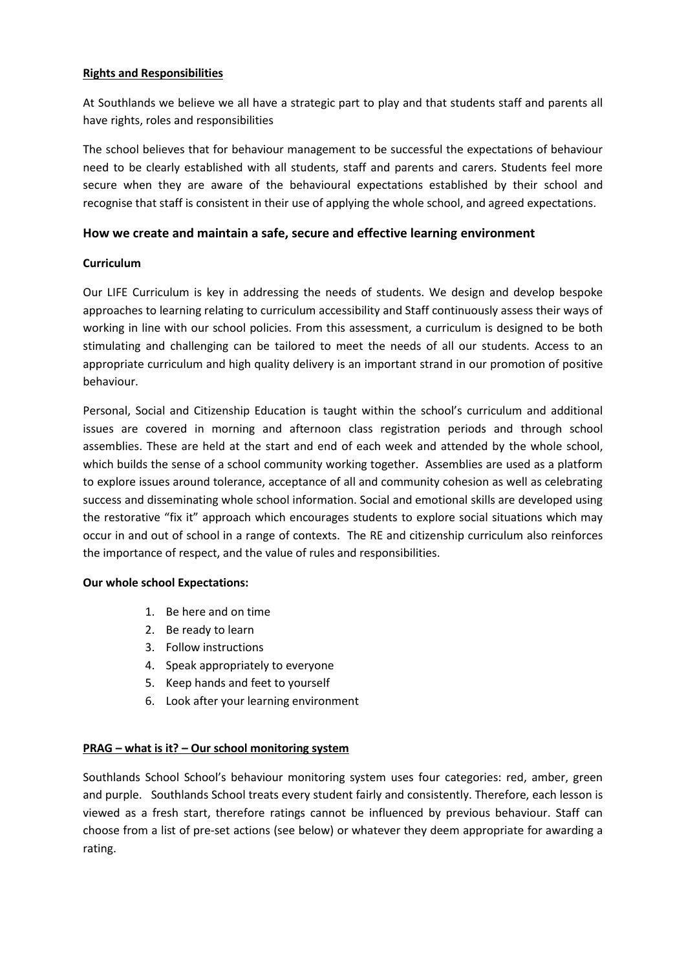#### **Rights and Responsibilities**

At Southlands we believe we all have a strategic part to play and that students staff and parents all have rights, roles and responsibilities

The school believes that for behaviour management to be successful the expectations of behaviour need to be clearly established with all students, staff and parents and carers. Students feel more secure when they are aware of the behavioural expectations established by their school and recognise that staff is consistent in their use of applying the whole school, and agreed expectations.

#### **How we create and maintain a safe, secure and effective learning environment**

#### **Curriculum**

Our LIFE Curriculum is key in addressing the needs of students. We design and develop bespoke approaches to learning relating to curriculum accessibility and Staff continuously assess their ways of working in line with our school policies. From this assessment, a curriculum is designed to be both stimulating and challenging can be tailored to meet the needs of all our students. Access to an appropriate curriculum and high quality delivery is an important strand in our promotion of positive behaviour.

Personal, Social and Citizenship Education is taught within the school's curriculum and additional issues are covered in morning and afternoon class registration periods and through school assemblies. These are held at the start and end of each week and attended by the whole school, which builds the sense of a school community working together. Assemblies are used as a platform to explore issues around tolerance, acceptance of all and community cohesion as well as celebrating success and disseminating whole school information. Social and emotional skills are developed using the restorative "fix it" approach which encourages students to explore social situations which may occur in and out of school in a range of contexts. The RE and citizenship curriculum also reinforces the importance of respect, and the value of rules and responsibilities.

#### **Our whole school Expectations:**

- 1. Be here and on time
- 2. Be ready to learn
- 3. Follow instructions
- 4. Speak appropriately to everyone
- 5. Keep hands and feet to yourself
- 6. Look after your learning environment

#### **PRAG – what is it? – Our school monitoring system**

Southlands School School's behaviour monitoring system uses four categories: red, amber, green and purple. Southlands School treats every student fairly and consistently. Therefore, each lesson is viewed as a fresh start, therefore ratings cannot be influenced by previous behaviour. Staff can choose from a list of pre-set actions (see below) or whatever they deem appropriate for awarding a rating.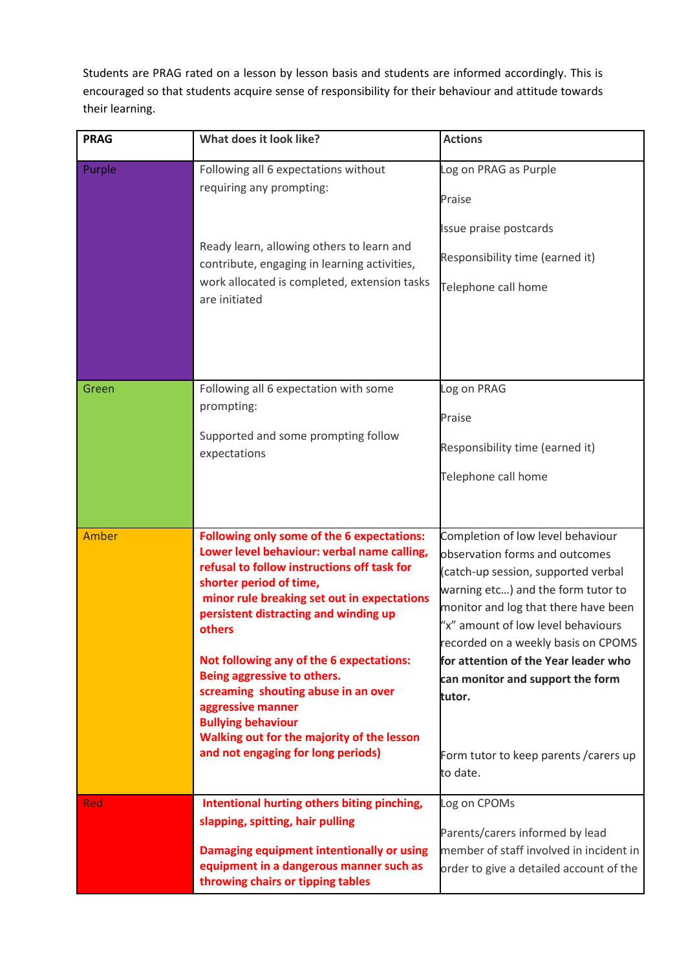Students are PRAG rated on a lesson by lesson basis and students are informed accordingly. This is encouraged so that students acquire sense of responsibility for their behaviour and attitude towards their learning.

| <b>PRAG</b> | What does it look like?                                                                                                                                                                                                                                                                                                                                                                                                                                                                                                              | <b>Actions</b>                                                                                                                                                                                                                                                                                                                                                                                                    |
|-------------|--------------------------------------------------------------------------------------------------------------------------------------------------------------------------------------------------------------------------------------------------------------------------------------------------------------------------------------------------------------------------------------------------------------------------------------------------------------------------------------------------------------------------------------|-------------------------------------------------------------------------------------------------------------------------------------------------------------------------------------------------------------------------------------------------------------------------------------------------------------------------------------------------------------------------------------------------------------------|
| Purple      | Following all 6 expectations without<br>requiring any prompting:<br>Ready learn, allowing others to learn and<br>contribute, engaging in learning activities,<br>work allocated is completed, extension tasks<br>are initiated                                                                                                                                                                                                                                                                                                       | Log on PRAG as Purple<br>Praise<br>Issue praise postcards<br>Responsibility time (earned it)<br>Telephone call home                                                                                                                                                                                                                                                                                               |
| Green       | Following all 6 expectation with some<br>prompting:<br>Supported and some prompting follow<br>expectations                                                                                                                                                                                                                                                                                                                                                                                                                           | Log on PRAG<br>Praise<br>Responsibility time (earned it)<br>Telephone call home                                                                                                                                                                                                                                                                                                                                   |
| Amber       | <b>Following only some of the 6 expectations:</b><br>Lower level behaviour: verbal name calling,<br>refusal to follow instructions off task for<br>shorter period of time,<br>minor rule breaking set out in expectations<br>persistent distracting and winding up<br>others<br>Not following any of the 6 expectations:<br>Being aggressive to others.<br>screaming shouting abuse in an over<br>aggressive manner<br><b>Bullying behaviour</b><br>Walking out for the majority of the lesson<br>and not engaging for long periods) | Completion of low level behaviour<br>observation forms and outcomes<br>(catch-up session, supported verbal<br>warning etc) and the form tutor to<br>monitor and log that there have been<br>"x" amount of low level behaviours<br>recorded on a weekly basis on CPOMS<br>for attention of the Year leader who<br>can monitor and support the form<br>tutor.<br>Form tutor to keep parents / carers up<br>to date. |
| Red         | Intentional hurting others biting pinching,<br>slapping, spitting, hair pulling<br>Damaging equipment intentionally or using<br>equipment in a dangerous manner such as<br>throwing chairs or tipping tables                                                                                                                                                                                                                                                                                                                         | Log on CPOMs<br>Parents/carers informed by lead<br>member of staff involved in incident in<br>order to give a detailed account of the                                                                                                                                                                                                                                                                             |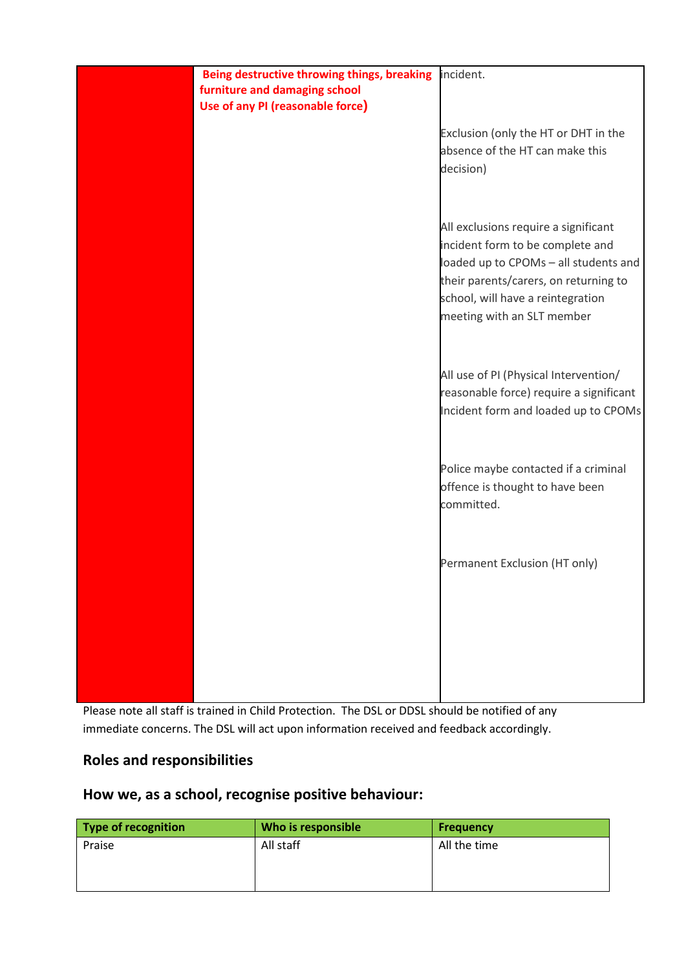

Please note all staff is trained in Child Protection. The DSL or DDSL should be notified of any immediate concerns. The DSL will act upon information received and feedback accordingly.

# **Roles and responsibilities**

## **How we, as a school, recognise positive behaviour:**

| <b>Type of recognition</b> | Who is responsible | <b>Frequency</b> |
|----------------------------|--------------------|------------------|
| Praise                     | All staff          | All the time     |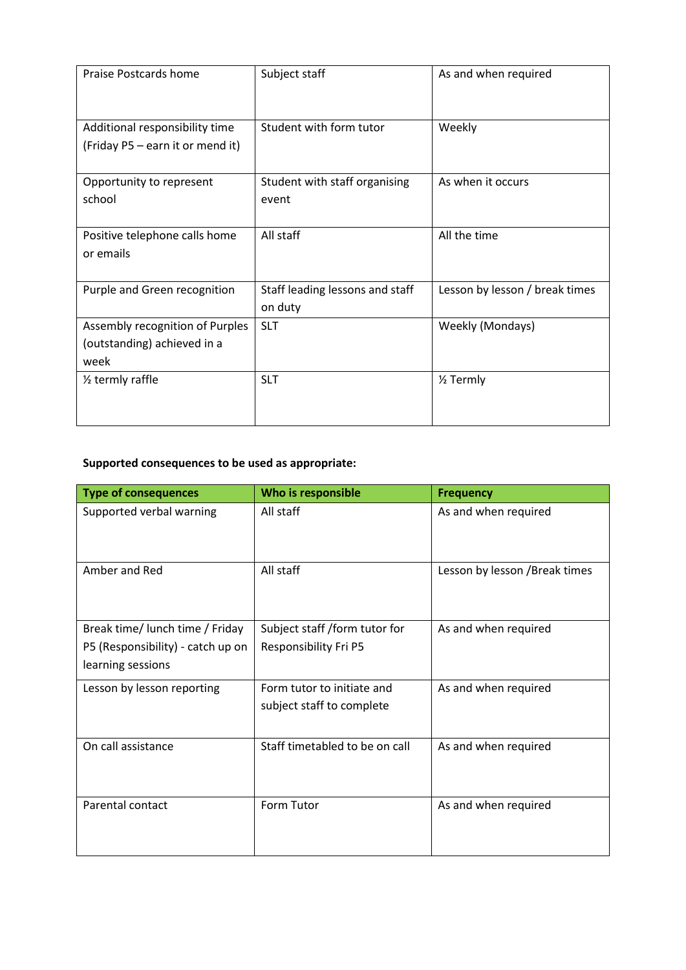| <b>Praise Postcards home</b>                                           | Subject staff                              | As and when required           |
|------------------------------------------------------------------------|--------------------------------------------|--------------------------------|
| Additional responsibility time<br>(Friday P5 - earn it or mend it)     | Student with form tutor                    | Weekly                         |
| Opportunity to represent<br>school                                     | Student with staff organising<br>event     | As when it occurs              |
| Positive telephone calls home<br>or emails                             | All staff                                  | All the time                   |
| Purple and Green recognition                                           | Staff leading lessons and staff<br>on duty | Lesson by lesson / break times |
| Assembly recognition of Purples<br>(outstanding) achieved in a<br>week | <b>SLT</b>                                 | Weekly (Mondays)               |
| 1/ <sub>2</sub> termly raffle                                          | <b>SLT</b>                                 | 1/ <sub>2</sub> Termly         |

# **Supported consequences to be used as appropriate:**

| <b>Type of consequences</b>                                                               | Who is responsible                                      | <b>Frequency</b>               |
|-------------------------------------------------------------------------------------------|---------------------------------------------------------|--------------------------------|
| Supported verbal warning                                                                  | All staff                                               | As and when required           |
| Amber and Red                                                                             | All staff                                               | Lesson by lesson / Break times |
| Break time/ lunch time / Friday<br>P5 (Responsibility) - catch up on<br>learning sessions | Subject staff /form tutor for<br>Responsibility Fri P5  | As and when required           |
| Lesson by lesson reporting                                                                | Form tutor to initiate and<br>subject staff to complete | As and when required           |
| On call assistance                                                                        | Staff timetabled to be on call                          | As and when required           |
| Parental contact                                                                          | Form Tutor                                              | As and when required           |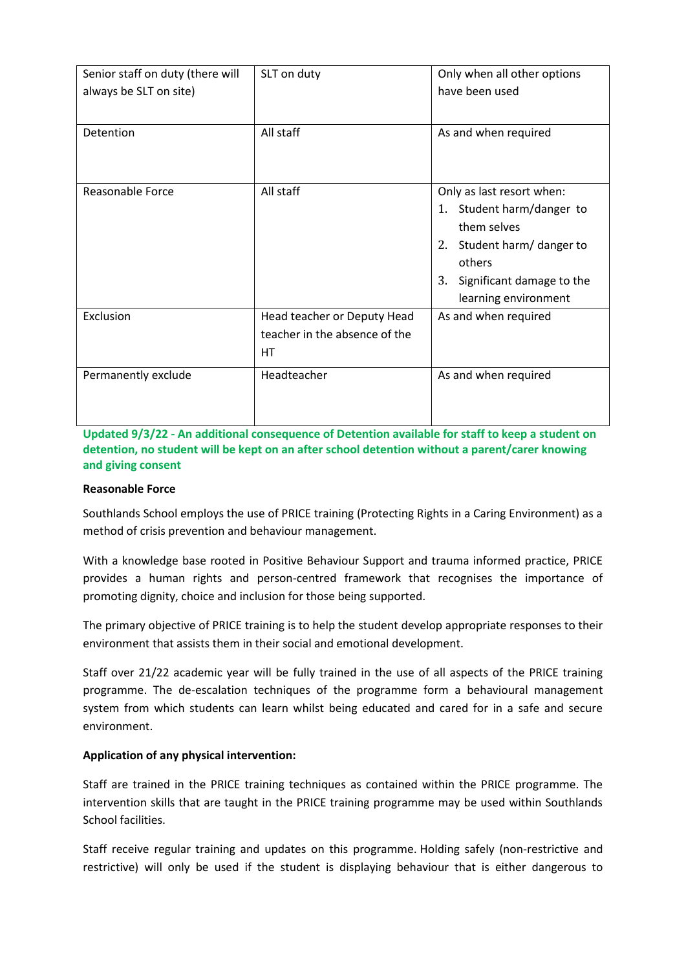| Senior staff on duty (there will<br>always be SLT on site) | SLT on duty                                                               | Only when all other options<br>have been used                                                                                                                           |
|------------------------------------------------------------|---------------------------------------------------------------------------|-------------------------------------------------------------------------------------------------------------------------------------------------------------------------|
| Detention                                                  | All staff                                                                 | As and when required                                                                                                                                                    |
| <b>Reasonable Force</b>                                    | All staff                                                                 | Only as last resort when:<br>1. Student harm/danger to<br>them selves<br>2. Student harm/danger to<br>others<br>Significant damage to the<br>3.<br>learning environment |
| Exclusion                                                  | Head teacher or Deputy Head<br>teacher in the absence of the<br><b>HT</b> | As and when required                                                                                                                                                    |
| Permanently exclude                                        | Headteacher                                                               | As and when required                                                                                                                                                    |

**Updated 9/3/22 - An additional consequence of Detention available for staff to keep a student on detention, no student will be kept on an after school detention without a parent/carer knowing and giving consent**

#### **Reasonable Force**

Southlands School employs the use of PRICE training (Protecting Rights in a Caring Environment) as a method of crisis prevention and behaviour management.

With a knowledge base rooted in Positive Behaviour Support and trauma informed practice, PRICE provides a human rights and person-centred framework that recognises the importance of promoting dignity, choice and inclusion for those being supported.

The primary objective of PRICE training is to help the student develop appropriate responses to their environment that assists them in their social and emotional development.

Staff over 21/22 academic year will be fully trained in the use of all aspects of the PRICE training programme. The de-escalation techniques of the programme form a behavioural management system from which students can learn whilst being educated and cared for in a safe and secure environment.

#### **Application of any physical intervention:**

Staff are trained in the PRICE training techniques as contained within the PRICE programme. The intervention skills that are taught in the PRICE training programme may be used within Southlands School facilities.

Staff receive regular training and updates on this programme. Holding safely (non-restrictive and restrictive) will only be used if the student is displaying behaviour that is either dangerous to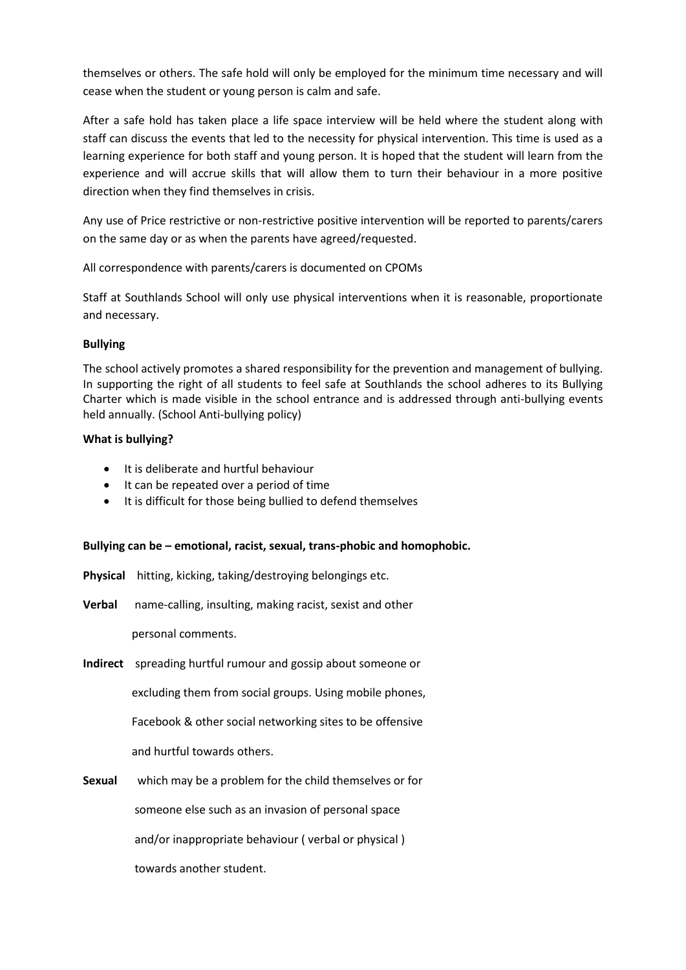themselves or others. The safe hold will only be employed for the minimum time necessary and will cease when the student or young person is calm and safe.

After a safe hold has taken place a life space interview will be held where the student along with staff can discuss the events that led to the necessity for physical intervention. This time is used as a learning experience for both staff and young person. It is hoped that the student will learn from the experience and will accrue skills that will allow them to turn their behaviour in a more positive direction when they find themselves in crisis.

Any use of Price restrictive or non-restrictive positive intervention will be reported to parents/carers on the same day or as when the parents have agreed/requested.

All correspondence with parents/carers is documented on CPOMs

Staff at Southlands School will only use physical interventions when it is reasonable, proportionate and necessary.

#### **Bullying**

The school actively promotes a shared responsibility for the prevention and management of bullying. In supporting the right of all students to feel safe at Southlands the school adheres to its Bullying Charter which is made visible in the school entrance and is addressed through anti-bullying events held annually. (School Anti-bullying policy)

#### **What is bullying?**

- It is deliberate and hurtful behaviour
- It can be repeated over a period of time
- It is difficult for those being bullied to defend themselves

## **Bullying can be – emotional, racist, sexual, trans-phobic and homophobic.**

- **Physical** hitting, kicking, taking/destroying belongings etc.
- **Verbal** name-calling, insulting, making racist, sexist and other

personal comments.

**Indirect** spreading hurtful rumour and gossip about someone or

excluding them from social groups. Using mobile phones,

Facebook & other social networking sites to be offensive

and hurtful towards others.

**Sexual** which may be a problem for the child themselves or for

someone else such as an invasion of personal space

and/or inappropriate behaviour ( verbal or physical )

towards another student.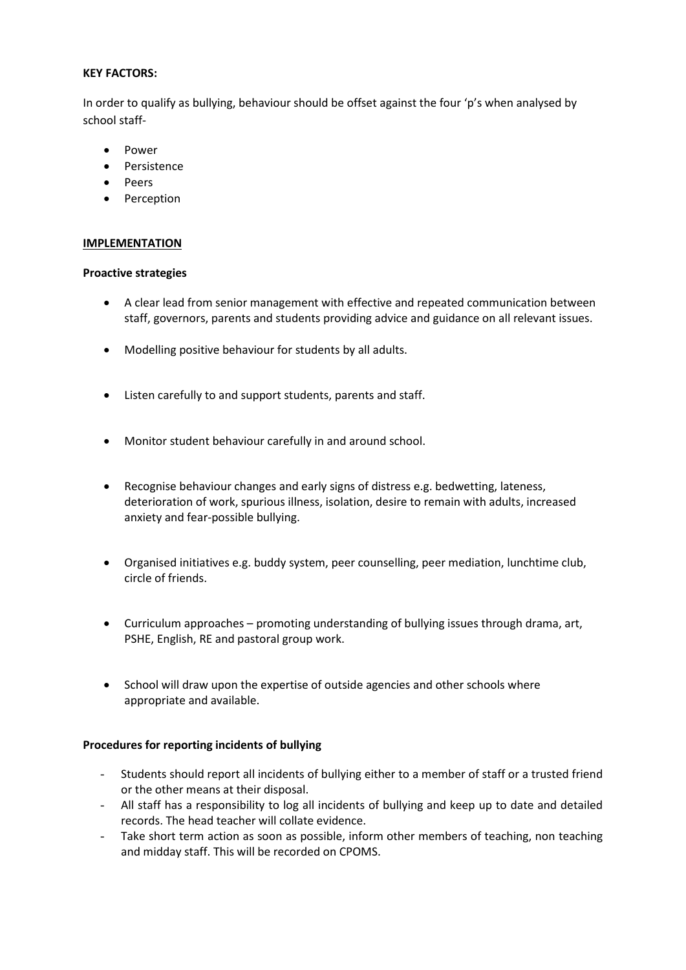#### **KEY FACTORS:**

In order to qualify as bullying, behaviour should be offset against the four 'p's when analysed by school staff-

- Power
- Persistence
- Peers
- Perception

#### **IMPLEMENTATION**

#### **Proactive strategies**

- A clear lead from senior management with effective and repeated communication between staff, governors, parents and students providing advice and guidance on all relevant issues.
- Modelling positive behaviour for students by all adults.
- Listen carefully to and support students, parents and staff.
- Monitor student behaviour carefully in and around school.
- Recognise behaviour changes and early signs of distress e.g. bedwetting, lateness, deterioration of work, spurious illness, isolation, desire to remain with adults, increased anxiety and fear-possible bullying.
- Organised initiatives e.g. buddy system, peer counselling, peer mediation, lunchtime club, circle of friends.
- Curriculum approaches promoting understanding of bullying issues through drama, art, PSHE, English, RE and pastoral group work.
- School will draw upon the expertise of outside agencies and other schools where appropriate and available.

#### **Procedures for reporting incidents of bullying**

- Students should report all incidents of bullying either to a member of staff or a trusted friend or the other means at their disposal.
- All staff has a responsibility to log all incidents of bullying and keep up to date and detailed records. The head teacher will collate evidence.
- Take short term action as soon as possible, inform other members of teaching, non teaching and midday staff. This will be recorded on CPOMS.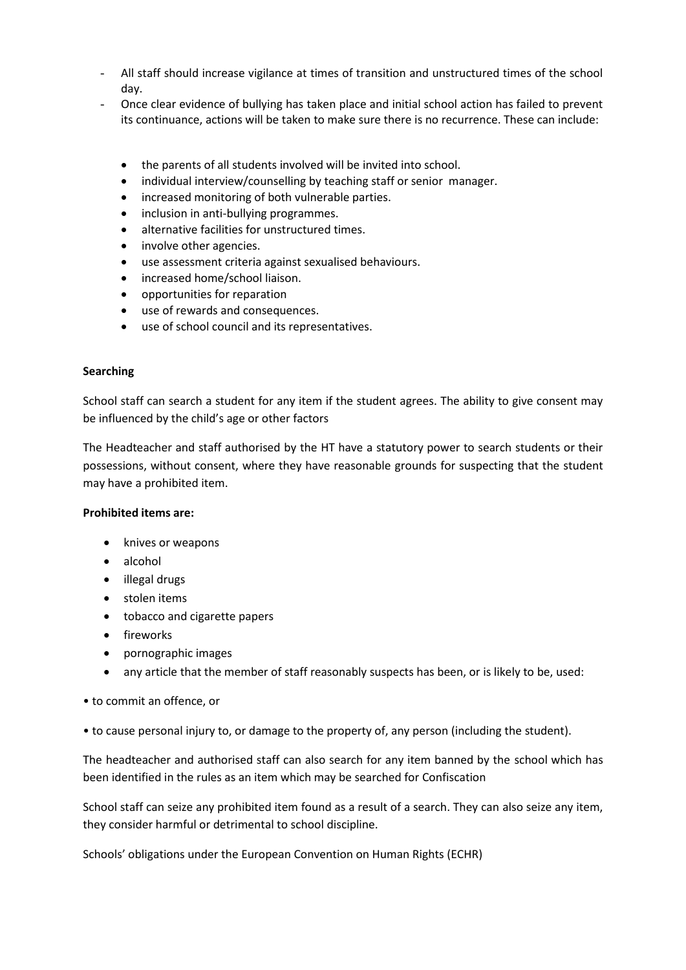- All staff should increase vigilance at times of transition and unstructured times of the school day.
- Once clear evidence of bullying has taken place and initial school action has failed to prevent its continuance, actions will be taken to make sure there is no recurrence. These can include:
	- the parents of all students involved will be invited into school.
	- individual interview/counselling by teaching staff or senior manager.
	- increased monitoring of both vulnerable parties.
	- inclusion in anti-bullying programmes.
	- alternative facilities for unstructured times.
	- involve other agencies.
	- use assessment criteria against sexualised behaviours.
	- increased home/school liaison.
	- opportunities for reparation
	- use of rewards and consequences.
	- use of school council and its representatives.

#### **Searching**

School staff can search a student for any item if the student agrees. The ability to give consent may be influenced by the child's age or other factors

The Headteacher and staff authorised by the HT have a statutory power to search students or their possessions, without consent, where they have reasonable grounds for suspecting that the student may have a prohibited item.

#### **Prohibited items are:**

- knives or weapons
- alcohol
- illegal drugs
- stolen items
- tobacco and cigarette papers
- fireworks
- pornographic images
- any article that the member of staff reasonably suspects has been, or is likely to be, used:
- to commit an offence, or
- to cause personal injury to, or damage to the property of, any person (including the student).

The headteacher and authorised staff can also search for any item banned by the school which has been identified in the rules as an item which may be searched for Confiscation

School staff can seize any prohibited item found as a result of a search. They can also seize any item, they consider harmful or detrimental to school discipline.

Schools' obligations under the European Convention on Human Rights (ECHR)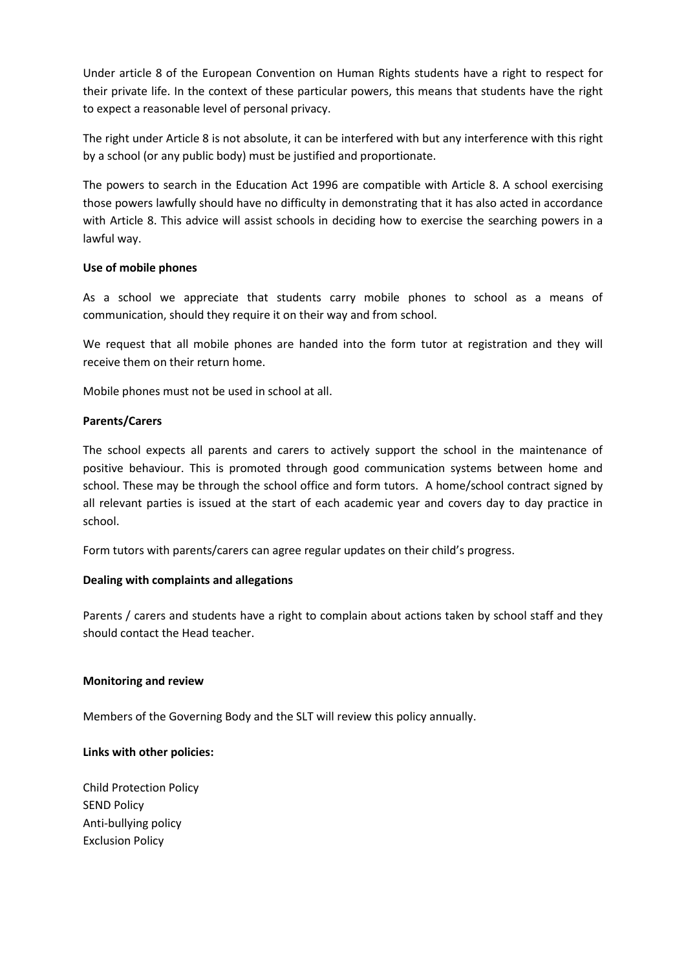Under article 8 of the European Convention on Human Rights students have a right to respect for their private life. In the context of these particular powers, this means that students have the right to expect a reasonable level of personal privacy.

The right under Article 8 is not absolute, it can be interfered with but any interference with this right by a school (or any public body) must be justified and proportionate.

The powers to search in the Education Act 1996 are compatible with Article 8. A school exercising those powers lawfully should have no difficulty in demonstrating that it has also acted in accordance with Article 8. This advice will assist schools in deciding how to exercise the searching powers in a lawful way.

#### **Use of mobile phones**

As a school we appreciate that students carry mobile phones to school as a means of communication, should they require it on their way and from school.

We request that all mobile phones are handed into the form tutor at registration and they will receive them on their return home.

Mobile phones must not be used in school at all.

#### **Parents/Carers**

The school expects all parents and carers to actively support the school in the maintenance of positive behaviour. This is promoted through good communication systems between home and school. These may be through the school office and form tutors. A home/school contract signed by all relevant parties is issued at the start of each academic year and covers day to day practice in school.

Form tutors with parents/carers can agree regular updates on their child's progress.

#### **Dealing with complaints and allegations**

Parents / carers and students have a right to complain about actions taken by school staff and they should contact the Head teacher.

#### **Monitoring and review**

Members of the Governing Body and the SLT will review this policy annually.

#### **Links with other policies:**

Child Protection Policy SEND Policy Anti-bullying policy Exclusion Policy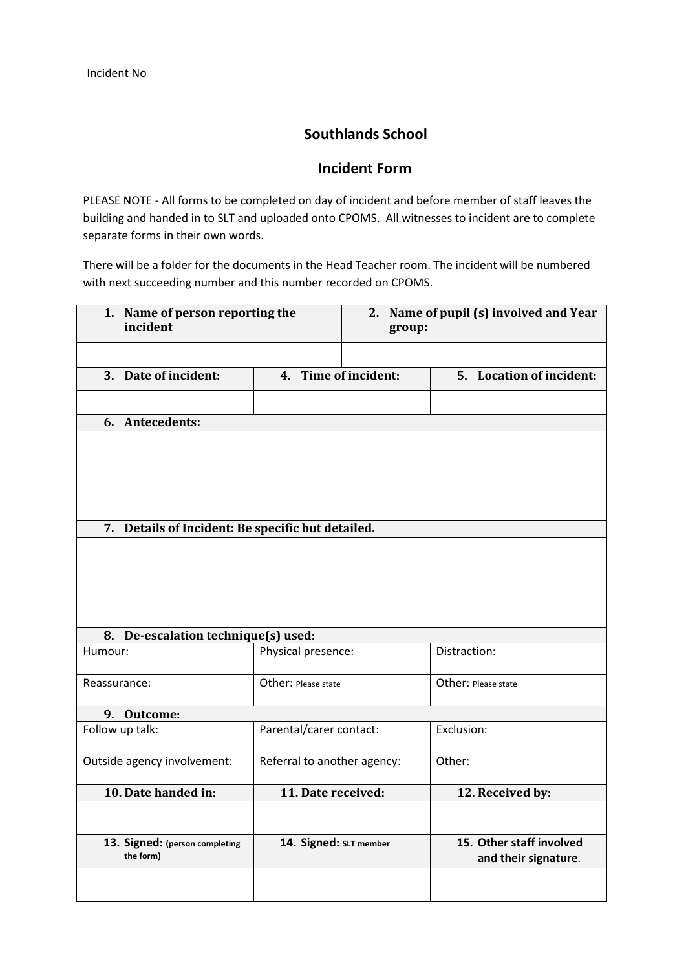## **Southlands School**

## **Incident Form**

PLEASE NOTE - All forms to be completed on day of incident and before member of staff leaves the building and handed in to SLT and uploaded onto CPOMS. All witnesses to incident are to complete separate forms in their own words.

There will be a folder for the documents in the Head Teacher room. The incident will be numbered with next succeeding number and this number recorded on CPOMS.

| 1. Name of person reporting the<br>incident       |                             | group: | 2. Name of pupil (s) involved and Year           |
|---------------------------------------------------|-----------------------------|--------|--------------------------------------------------|
|                                                   |                             |        |                                                  |
| 3. Date of incident:                              | 4. Time of incident:        |        | 5. Location of incident:                         |
|                                                   |                             |        |                                                  |
| 6. Antecedents:                                   |                             |        |                                                  |
|                                                   |                             |        |                                                  |
| 7. Details of Incident: Be specific but detailed. |                             |        |                                                  |
|                                                   |                             |        |                                                  |
| 8. De-escalation technique(s) used:               |                             |        |                                                  |
| Humour:                                           | Physical presence:          |        | Distraction:                                     |
| Reassurance:                                      | Other: Please state         |        | Other: Please state                              |
| 9. Outcome:                                       |                             |        |                                                  |
| Follow up talk:                                   | Parental/carer contact:     |        | Exclusion:                                       |
| Outside agency involvement:                       | Referral to another agency: |        | Other:                                           |
| 10. Date handed in:                               | 11. Date received:          |        | 12. Received by:                                 |
| 13. Signed: (person completing<br>the form)       | 14. Signed: SLT member      |        | 15. Other staff involved<br>and their signature. |
|                                                   |                             |        |                                                  |